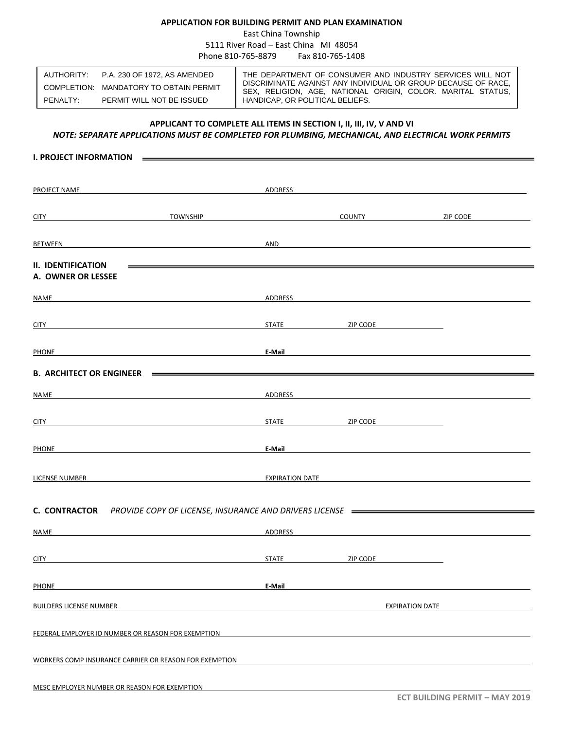## **APPLICATION FOR BUILDING PERMIT AND PLAN EXAMINATION**

East China Township

5111 River Road – East China MI 48054 Phone 810-765-8879 Fax 810-765-1408

|          | AUTHORITY: P.A. 230 OF 1972. AS AMENDED | THE DEPARTMENT OF CONSUMER AND INDUSTRY SERVICES WILL NOT                                                                    |
|----------|-----------------------------------------|------------------------------------------------------------------------------------------------------------------------------|
|          | COMPLETION: MANDATORY TO OBTAIN PERMIT  | DISCRIMINATE AGAINST ANY INDIVIDUAL OR GROUP BECAUSE OF RACE,<br>SEX, RELIGION, AGE, NATIONAL ORIGIN, COLOR. MARITAL STATUS, |
| PENALTY: | PERMIT WILL NOT BE ISSUED               | HANDICAP, OR POLITICAL BELIEFS.                                                                                              |

# **APPLICANT TO COMPLETE ALL ITEMS IN SECTION I, II, III, IV, V AND VI**

## *NOTE: SEPARATE APPLICATIONS MUST BE COMPLETED FOR PLUMBING, MECHANICAL, AND ELECTRICAL WORK PERMITS*

| <b>I. PROJECT INFORMATION</b>                                                  |                                                                                                                       |                                                                                                                                                                                                                                     |          |                        |                                                                                                                                                                                                                               |
|--------------------------------------------------------------------------------|-----------------------------------------------------------------------------------------------------------------------|-------------------------------------------------------------------------------------------------------------------------------------------------------------------------------------------------------------------------------------|----------|------------------------|-------------------------------------------------------------------------------------------------------------------------------------------------------------------------------------------------------------------------------|
|                                                                                |                                                                                                                       |                                                                                                                                                                                                                                     |          |                        |                                                                                                                                                                                                                               |
|                                                                                |                                                                                                                       |                                                                                                                                                                                                                                     |          |                        |                                                                                                                                                                                                                               |
| PROJECT NAME                                                                   | ADDRESS                                                                                                               |                                                                                                                                                                                                                                     |          |                        |                                                                                                                                                                                                                               |
|                                                                                |                                                                                                                       |                                                                                                                                                                                                                                     |          |                        |                                                                                                                                                                                                                               |
| CITY TOWNSHIP                                                                  |                                                                                                                       | <b>COUNTY SERVICE SERVICE SERVICE SERVICE SERVICE SERVICE SERVICE SERVICE SERVICE SERVICE SERVICE SERVICE SERVICE</b>                                                                                                               |          |                        |                                                                                                                                                                                                                               |
|                                                                                |                                                                                                                       |                                                                                                                                                                                                                                     |          |                        |                                                                                                                                                                                                                               |
| BETWEEN                                                                        | <u> 1980 - Johann Barn, mars ann an t-Amhain ann an t-Amhain an t-Amhain an t-Amhain an t-Amhain ann an t-Amhain</u>  | AND                                                                                                                                                                                                                                 |          |                        | and the control of the control of the control of the control of the control of the control of the control of the                                                                                                              |
| <b>II. IDENTIFICATION</b>                                                      |                                                                                                                       |                                                                                                                                                                                                                                     |          |                        |                                                                                                                                                                                                                               |
| A. OWNER OR LESSEE                                                             |                                                                                                                       |                                                                                                                                                                                                                                     |          |                        |                                                                                                                                                                                                                               |
|                                                                                |                                                                                                                       |                                                                                                                                                                                                                                     |          |                        |                                                                                                                                                                                                                               |
| NAME                                                                           |                                                                                                                       | ADDRESS AND THE RESIDENCE OF THE RESIDENCE OF THE RESIDENCE OF THE RESIDENCE OF THE RESIDENCE OF THE RESIDENCE                                                                                                                      |          |                        |                                                                                                                                                                                                                               |
|                                                                                |                                                                                                                       |                                                                                                                                                                                                                                     |          |                        |                                                                                                                                                                                                                               |
| <u>CITY</u> <b>CITY CITY CITY CITY CITY CITY CITY CITY CITY CITY CITY CITY</b> |                                                                                                                       | STATE ZIP CODE                                                                                                                                                                                                                      |          |                        |                                                                                                                                                                                                                               |
|                                                                                |                                                                                                                       |                                                                                                                                                                                                                                     |          |                        |                                                                                                                                                                                                                               |
| PHONE                                                                          |                                                                                                                       | <b>E-Mail</b>                                                                                                                                                                                                                       |          |                        | <u> 1989 - Johann Stein, Amerikaansk politiker († 1908)</u>                                                                                                                                                                   |
|                                                                                |                                                                                                                       |                                                                                                                                                                                                                                     |          |                        |                                                                                                                                                                                                                               |
|                                                                                |                                                                                                                       |                                                                                                                                                                                                                                     |          |                        |                                                                                                                                                                                                                               |
| <b>NAME</b>                                                                    | <u> 1980 - Johann Barn, mars and de Britain and de Britain and de Britain and de Britain and de Britain and de Br</u> |                                                                                                                                                                                                                                     |          |                        | ADDRESS AND THE CONTROL OF THE CONTROL OF THE CONTROL OF THE CONTROL OF THE CONTROL OF THE CONTROL OF THE CONTROL OF THE CONTROL OF THE CONTROL OF THE CONTROL OF THE CONTROL OF THE CONTROL OF THE CONTROL OF THE CONTROL OF |
|                                                                                |                                                                                                                       |                                                                                                                                                                                                                                     |          |                        |                                                                                                                                                                                                                               |
| <b>CITY</b>                                                                    |                                                                                                                       | STATE ZIP CODE                                                                                                                                                                                                                      |          |                        |                                                                                                                                                                                                                               |
|                                                                                |                                                                                                                       |                                                                                                                                                                                                                                     |          |                        |                                                                                                                                                                                                                               |
| PHONE                                                                          | <u> 1989 - Johann Barbara, martxa alemaniar amerikan a</u>                                                            | E-Mail <b>E-Mail and Service Community of the Community</b> of the Community of the Community of the Community of the Community of the Community of the Community of the Community of the Community of the Community of the Communi |          |                        |                                                                                                                                                                                                                               |
|                                                                                |                                                                                                                       |                                                                                                                                                                                                                                     |          |                        |                                                                                                                                                                                                                               |
|                                                                                |                                                                                                                       |                                                                                                                                                                                                                                     |          |                        |                                                                                                                                                                                                                               |
| <b>LICENSE NUMBER CONSERVERS</b>                                               |                                                                                                                       |                                                                                                                                                                                                                                     |          |                        | EXPIRATION DATE AND A CONTROL CONTROL CONTROL CONTROL CONTROL CONTROL CONTROL CONTROL CONTROL CONTROL CONTROL CONTROL CONTROL CONTROL CONTROL CONTROL CONTROL CONTROL CONTROL CONTROL CONTROL CONTROL CONTROL CONTROL CONTROL |
|                                                                                |                                                                                                                       |                                                                                                                                                                                                                                     |          |                        |                                                                                                                                                                                                                               |
|                                                                                |                                                                                                                       |                                                                                                                                                                                                                                     |          |                        |                                                                                                                                                                                                                               |
|                                                                                |                                                                                                                       |                                                                                                                                                                                                                                     |          |                        |                                                                                                                                                                                                                               |
| <b>NAME</b>                                                                    |                                                                                                                       | ADDRESS                                                                                                                                                                                                                             |          |                        |                                                                                                                                                                                                                               |
|                                                                                |                                                                                                                       |                                                                                                                                                                                                                                     |          |                        |                                                                                                                                                                                                                               |
| <b>CITY</b>                                                                    |                                                                                                                       | <b>STATE</b>                                                                                                                                                                                                                        | ZIP CODE |                        |                                                                                                                                                                                                                               |
|                                                                                |                                                                                                                       |                                                                                                                                                                                                                                     |          |                        |                                                                                                                                                                                                                               |
| <b>PHONE</b>                                                                   |                                                                                                                       | E-Mail                                                                                                                                                                                                                              |          |                        |                                                                                                                                                                                                                               |
| <b>BUILDERS LICENSE NUMBER</b>                                                 |                                                                                                                       |                                                                                                                                                                                                                                     |          | <b>EXPIRATION DATE</b> |                                                                                                                                                                                                                               |
|                                                                                |                                                                                                                       |                                                                                                                                                                                                                                     |          |                        |                                                                                                                                                                                                                               |
| FEDERAL EMPLOYER ID NUMBER OR REASON FOR EXEMPTION                             |                                                                                                                       |                                                                                                                                                                                                                                     |          |                        |                                                                                                                                                                                                                               |
|                                                                                |                                                                                                                       |                                                                                                                                                                                                                                     |          |                        |                                                                                                                                                                                                                               |
| WORKERS COMP INSURANCE CARRIER OR REASON FOR EXEMPTION                         |                                                                                                                       |                                                                                                                                                                                                                                     |          |                        |                                                                                                                                                                                                                               |
|                                                                                |                                                                                                                       |                                                                                                                                                                                                                                     |          |                        |                                                                                                                                                                                                                               |
| MESC EMPLOYER NUMBER OR REASON FOR EXEMPTION                                   |                                                                                                                       |                                                                                                                                                                                                                                     |          |                        |                                                                                                                                                                                                                               |
|                                                                                |                                                                                                                       |                                                                                                                                                                                                                                     |          |                        |                                                                                                                                                                                                                               |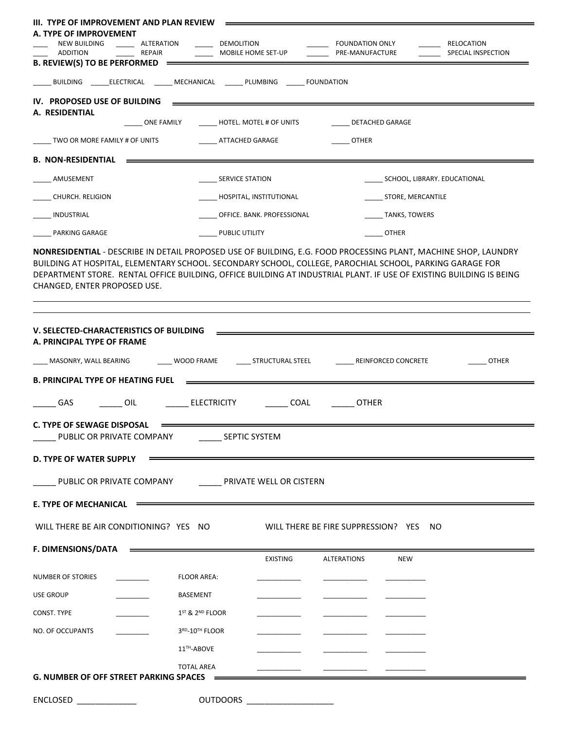| III. TYPE OF IMPROVEMENT AND PLAN REVIEW                                                                                                                                                                                                                                                                                                                                           |                               |                                        |                              |
|------------------------------------------------------------------------------------------------------------------------------------------------------------------------------------------------------------------------------------------------------------------------------------------------------------------------------------------------------------------------------------|-------------------------------|----------------------------------------|------------------------------|
| A. TYPE OF IMPROVEMENT<br>NEW BUILDING<br>ALTERATION                                                                                                                                                                                                                                                                                                                               | <b>DEMOLITION</b>             | <b>FOUNDATION ONLY</b>                 | RELOCATION                   |
| REPAIR<br>ADDITION<br>B. REVIEW(S) TO BE PERFORMED =                                                                                                                                                                                                                                                                                                                               | MOBILE HOME SET-UP            | PRE-MANUFACTURE                        | SPECIAL INSPECTION           |
|                                                                                                                                                                                                                                                                                                                                                                                    |                               |                                        |                              |
|                                                                                                                                                                                                                                                                                                                                                                                    |                               |                                        |                              |
| IV. PROPOSED USE OF BUILDING<br>A. RESIDENTIAL                                                                                                                                                                                                                                                                                                                                     |                               |                                        |                              |
| ONE FAMILY                                                                                                                                                                                                                                                                                                                                                                         | HOTEL. MOTEL # OF UNITS       | DETACHED GARAGE                        |                              |
| TWO OR MORE FAMILY # OF UNITS                                                                                                                                                                                                                                                                                                                                                      | ATTACHED GARAGE               | <b>OTHER</b>                           |                              |
| <b>B. NON-RESIDENTIAL</b>                                                                                                                                                                                                                                                                                                                                                          |                               |                                        |                              |
| AMUSEMENT                                                                                                                                                                                                                                                                                                                                                                          | <b>SERVICE STATION</b>        |                                        | SCHOOL, LIBRARY. EDUCATIONAL |
| CHURCH. RELIGION                                                                                                                                                                                                                                                                                                                                                                   | HOSPITAL, INSTITUTIONAL       | STORE, MERCANTILE                      |                              |
| INDUSTRIAL                                                                                                                                                                                                                                                                                                                                                                         | OFFICE. BANK. PROFESSIONAL    | TANKS, TOWERS                          |                              |
| PARKING GARAGE                                                                                                                                                                                                                                                                                                                                                                     | PUBLIC UTILITY                | <b>OTHER</b>                           |                              |
| NONRESIDENTIAL - DESCRIBE IN DETAIL PROPOSED USE OF BUILDING, E.G. FOOD PROCESSING PLANT, MACHINE SHOP, LAUNDRY<br>BUILDING AT HOSPITAL, ELEMENTARY SCHOOL. SECONDARY SCHOOL, COLLEGE, PAROCHIAL SCHOOL, PARKING GARAGE FOR<br>DEPARTMENT STORE. RENTAL OFFICE BUILDING, OFFICE BUILDING AT INDUSTRIAL PLANT. IF USE OF EXISTING BUILDING IS BEING<br>CHANGED, ENTER PROPOSED USE. |                               |                                        |                              |
|                                                                                                                                                                                                                                                                                                                                                                                    |                               |                                        |                              |
| V. SELECTED-CHARACTERISTICS OF BUILDING<br>A. PRINCIPAL TYPE OF FRAME                                                                                                                                                                                                                                                                                                              |                               |                                        |                              |
| MASONRY, WALL BEARING<br>WOOD FRAME                                                                                                                                                                                                                                                                                                                                                | _____ STRUCTURAL STEEL        | REINFORCED CONCRETE                    | <b>OTHER</b>                 |
| <b>B. PRINCIPAL TYPE OF HEATING FUEL</b>                                                                                                                                                                                                                                                                                                                                           |                               |                                        |                              |
|                                                                                                                                                                                                                                                                                                                                                                                    |                               |                                        |                              |
| $-$ GAS<br>ELECTRICITY<br><b>OIL</b>                                                                                                                                                                                                                                                                                                                                               | $\frac{1}{2}$ COAL            | <b>OTHER</b>                           |                              |
| <b>C. TYPE OF SEWAGE DISPOSAL</b><br>PUBLIC OR PRIVATE COMPANY SEPTIC SYSTEM                                                                                                                                                                                                                                                                                                       |                               |                                        |                              |
| <b>D. TYPE OF WATER SUPPLY</b>                                                                                                                                                                                                                                                                                                                                                     |                               |                                        |                              |
| PUBLIC OR PRIVATE COMPANY COMPANY PRIVATE WELL OR CISTERN                                                                                                                                                                                                                                                                                                                          |                               |                                        |                              |
| E. TYPE OF MECHANICAL $\equiv$                                                                                                                                                                                                                                                                                                                                                     |                               |                                        |                              |
| WILL THERE BE AIR CONDITIONING? YES NO                                                                                                                                                                                                                                                                                                                                             |                               | WILL THERE BE FIRE SUPPRESSION? YES NO |                              |
|                                                                                                                                                                                                                                                                                                                                                                                    | <b>EXISTING</b>               | <b>ALTERATIONS</b><br><b>NEW</b>       |                              |
| NUMBER OF STORIES<br><b>FLOOR AREA:</b>                                                                                                                                                                                                                                                                                                                                            |                               |                                        |                              |
| <b>USE GROUP</b><br><b>BASEMENT</b>                                                                                                                                                                                                                                                                                                                                                |                               |                                        |                              |
| $1ST$ & $2ND$ FLOOR<br>CONST. TYPE                                                                                                                                                                                                                                                                                                                                                 |                               |                                        |                              |
| 3 <sup>RD</sup> -10 <sup>™</sup> FLOOR<br>NO. OF OCCUPANTS                                                                                                                                                                                                                                                                                                                         |                               |                                        |                              |
|                                                                                                                                                                                                                                                                                                                                                                                    |                               |                                        |                              |
| 11 <sup>TH</sup> -ABOVE                                                                                                                                                                                                                                                                                                                                                            |                               |                                        |                              |
| <b>TOTAL AREA</b><br><b>G. NUMBER OF OFF STREET PARKING SPACES</b>                                                                                                                                                                                                                                                                                                                 |                               |                                        |                              |
| $ENCLOSED$ ______________                                                                                                                                                                                                                                                                                                                                                          | OUTDOORS ____________________ |                                        |                              |